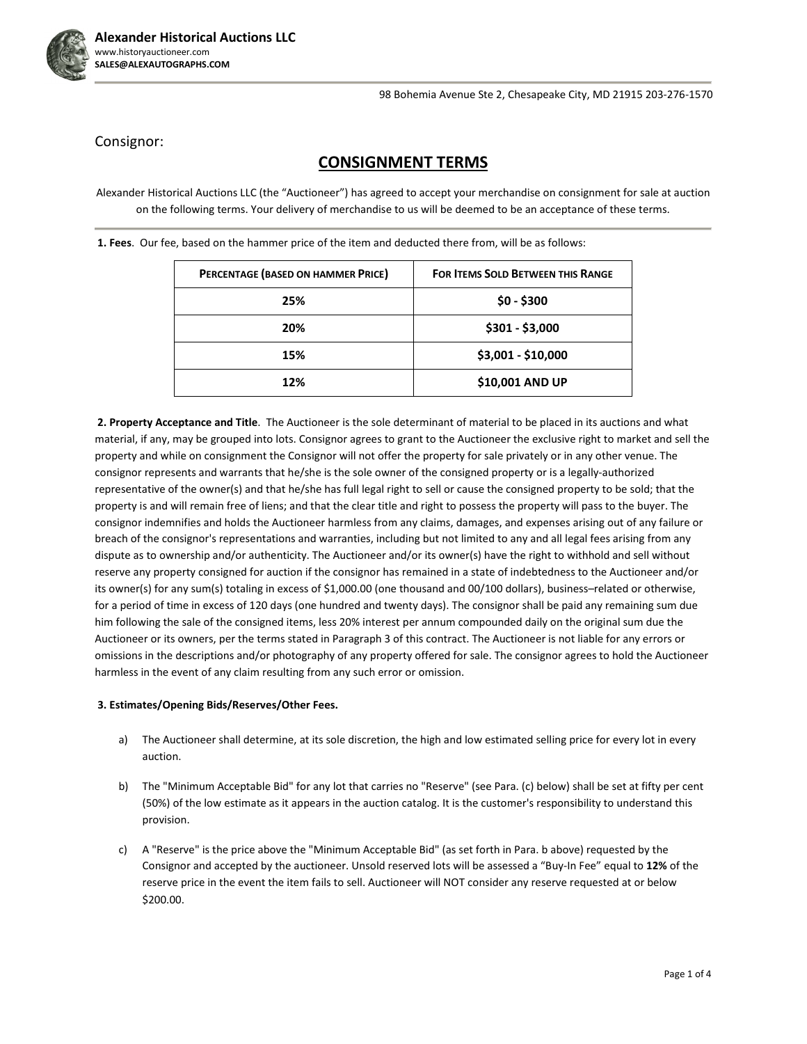

Consignor:

## **CONSIGNMENT TERMS**

Alexander Historical Auctions LLC (the "Auctioneer") has agreed to accept your merchandise on consignment for sale at auction on the following terms. Your delivery of merchandise to us will be deemed to be an acceptance of these terms.

| PERCENTAGE (BASED ON HAMMER PRICE) | <b>FOR ITEMS SOLD BETWEEN THIS RANGE</b> |
|------------------------------------|------------------------------------------|
| 25%                                | $$0 - $300$                              |
| 20%                                | \$301 - \$3,000                          |
| 15%                                | \$3,001 - \$10,000                       |
| 12%                                | \$10,001 AND UP                          |

**1. Fees**. Our fee, based on the hammer price of the item and deducted there from, will be as follows:

**2. Property Acceptance and Title**. The Auctioneer is the sole determinant of material to be placed in its auctions and what material, if any, may be grouped into lots. Consignor agrees to grant to the Auctioneer the exclusive right to market and sell the property and while on consignment the Consignor will not offer the property for sale privately or in any other venue. The consignor represents and warrants that he/she is the sole owner of the consigned property or is a legally-authorized representative of the owner(s) and that he/she has full legal right to sell or cause the consigned property to be sold; that the property is and will remain free of liens; and that the clear title and right to possess the property will pass to the buyer. The consignor indemnifies and holds the Auctioneer harmless from any claims, damages, and expenses arising out of any failure or breach of the consignor's representations and warranties, including but not limited to any and all legal fees arising from any dispute as to ownership and/or authenticity. The Auctioneer and/or its owner(s) have the right to withhold and sell without reserve any property consigned for auction if the consignor has remained in a state of indebtedness to the Auctioneer and/or its owner(s) for any sum(s) totaling in excess of \$1,000.00 (one thousand and 00/100 dollars), business–related or otherwise, for a period of time in excess of 120 days (one hundred and twenty days). The consignor shall be paid any remaining sum due him following the sale of the consigned items, less 20% interest per annum compounded daily on the original sum due the Auctioneer or its owners, per the terms stated in Paragraph 3 of this contract. The Auctioneer is not liable for any errors or omissions in the descriptions and/or photography of any property offered for sale. The consignor agrees to hold the Auctioneer harmless in the event of any claim resulting from any such error or omission.

## **3. Estimates/Opening Bids/Reserves/Other Fees.**

- a) The Auctioneer shall determine, at its sole discretion, the high and low estimated selling price for every lot in every auction.
- b) The "Minimum Acceptable Bid" for any lot that carries no "Reserve" (see Para. (c) below) shall be set at fifty per cent (50%) of the low estimate as it appears in the auction catalog. It is the customer's responsibility to understand this provision.
- c) A "Reserve" is the price above the "Minimum Acceptable Bid" (as set forth in Para. b above) requested by the Consignor and accepted by the auctioneer. Unsold reserved lots will be assessed a "Buy-In Fee" equal to **12%** of the reserve price in the event the item fails to sell. Auctioneer will NOT consider any reserve requested at or below \$200.00.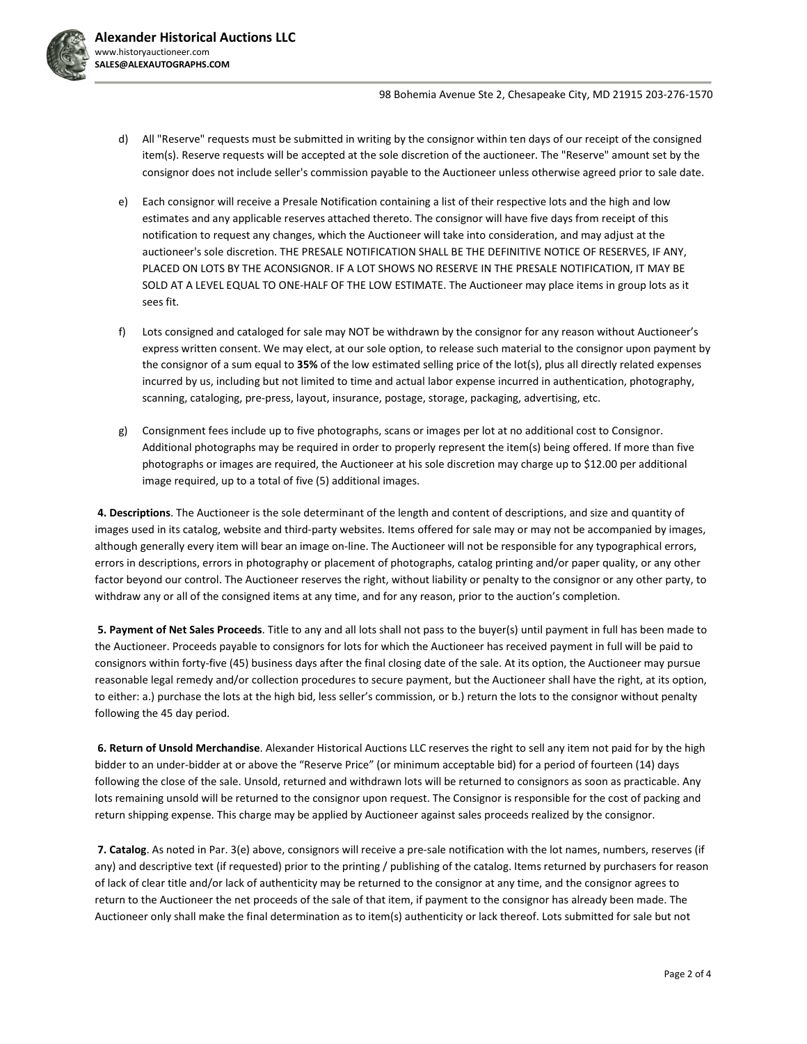

- d) All "Reserve" requests must be submitted in writing by the consignor within ten days of our receipt of the consigned item(s). Reserve requests will be accepted at the sole discretion of the auctioneer. The "Reserve" amount set by the consignor does not include seller's commission payable to the Auctioneer unless otherwise agreed prior to sale date.
- e) Each consignor will receive a Presale Notification containing a list of their respective lots and the high and low estimates and any applicable reserves attached thereto. The consignor will have five days from receipt of this notification to request any changes, which the Auctioneer will take into consideration, and may adjust at the auctioneer's sole discretion. THE PRESALE NOTIFICATION SHALL BE THE DEFINITIVE NOTICE OF RESERVES, IF ANY, PLACED ON LOTS BY THE ACONSIGNOR. IF A LOT SHOWS NO RESERVE IN THE PRESALE NOTIFICATION, IT MAY BE SOLD AT A LEVEL EQUAL TO ONE-HALF OF THE LOW ESTIMATE. The Auctioneer may place items in group lots as it sees fit.
- f) Lots consigned and cataloged for sale may NOT be withdrawn by the consignor for any reason without Auctioneer's express written consent. We may elect, at our sole option, to release such material to the consignor upon payment by the consignor of a sum equal to **35%** of the low estimated selling price of the lot(s), plus all directly related expenses incurred by us, including but not limited to time and actual labor expense incurred in authentication, photography, scanning, cataloging, pre-press, layout, insurance, postage, storage, packaging, advertising, etc.
- g) Consignment fees include up to five photographs, scans or images per lot at no additional cost to Consignor. Additional photographs may be required in order to properly represent the item(s) being offered. If more than five photographs or images are required, the Auctioneer at his sole discretion may charge up to \$12.00 per additional image required, up to a total of five (5) additional images.

**4. Descriptions**. The Auctioneer is the sole determinant of the length and content of descriptions, and size and quantity of images used in its catalog, website and third-party websites. Items offered for sale may or may not be accompanied by images, although generally every item will bear an image on-line. The Auctioneer will not be responsible for any typographical errors, errors in descriptions, errors in photography or placement of photographs, catalog printing and/or paper quality, or any other factor beyond our control. The Auctioneer reserves the right, without liability or penalty to the consignor or any other party, to withdraw any or all of the consigned items at any time, and for any reason, prior to the auction's completion.

**5. Payment of Net Sales Proceeds**. Title to any and all lots shall not pass to the buyer(s) until payment in full has been made to the Auctioneer. Proceeds payable to consignors for lots for which the Auctioneer has received payment in full will be paid to consignors within forty-five (45) business days after the final closing date of the sale. At its option, the Auctioneer may pursue reasonable legal remedy and/or collection procedures to secure payment, but the Auctioneer shall have the right, at its option, to either: a.) purchase the lots at the high bid, less seller's commission, or b.) return the lots to the consignor without penalty following the 45 day period.

**6. Return of Unsold Merchandise**. Alexander Historical Auctions LLC reserves the right to sell any item not paid for by the high bidder to an under-bidder at or above the "Reserve Price" (or minimum acceptable bid) for a period of fourteen (14) days following the close of the sale. Unsold, returned and withdrawn lots will be returned to consignors as soon as practicable. Any lots remaining unsold will be returned to the consignor upon request. The Consignor is responsible for the cost of packing and return shipping expense. This charge may be applied by Auctioneer against sales proceeds realized by the consignor.

**7. Catalog**. As noted in Par. 3(e) above, consignors will receive a pre-sale notification with the lot names, numbers, reserves (if any) and descriptive text (if requested) prior to the printing / publishing of the catalog. Items returned by purchasers for reason of lack of clear title and/or lack of authenticity may be returned to the consignor at any time, and the consignor agrees to return to the Auctioneer the net proceeds of the sale of that item, if payment to the consignor has already been made. The Auctioneer only shall make the final determination as to item(s) authenticity or lack thereof. Lots submitted for sale but not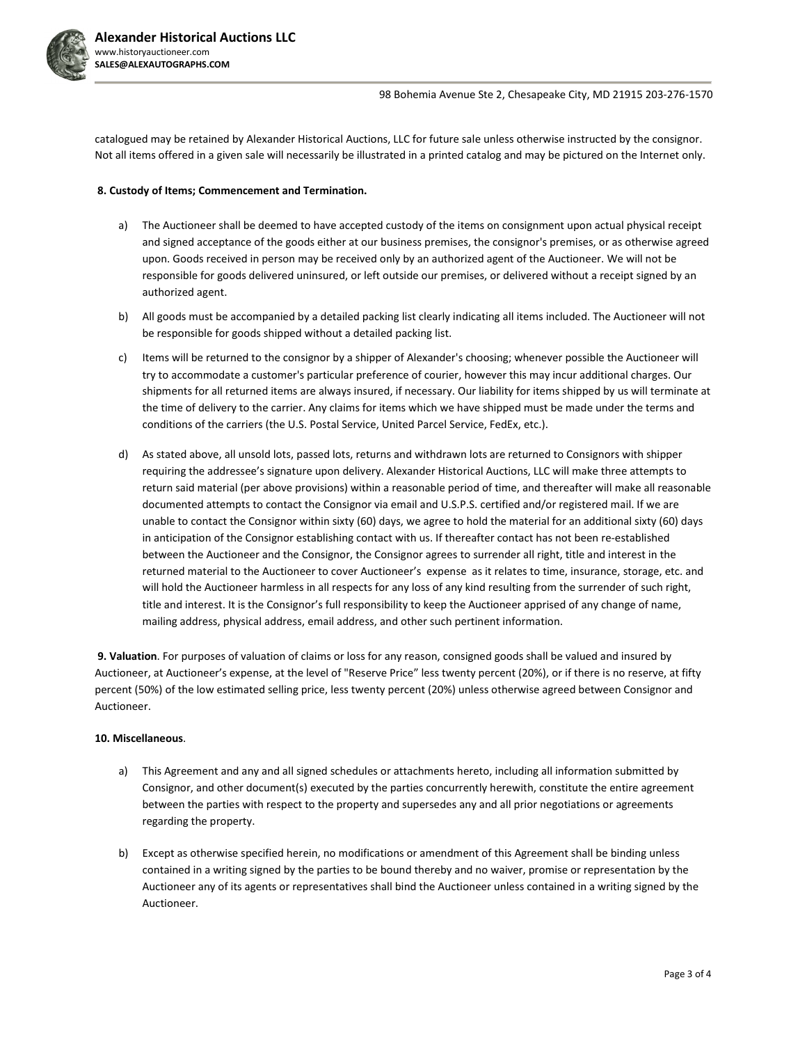

catalogued may be retained by Alexander Historical Auctions, LLC for future sale unless otherwise instructed by the consignor. Not all items offered in a given sale will necessarily be illustrated in a printed catalog and may be pictured on the Internet only.

## **8. Custody of Items; Commencement and Termination.**

- a) The Auctioneer shall be deemed to have accepted custody of the items on consignment upon actual physical receipt and signed acceptance of the goods either at our business premises, the consignor's premises, or as otherwise agreed upon. Goods received in person may be received only by an authorized agent of the Auctioneer. We will not be responsible for goods delivered uninsured, or left outside our premises, or delivered without a receipt signed by an authorized agent.
- b) All goods must be accompanied by a detailed packing list clearly indicating all items included. The Auctioneer will not be responsible for goods shipped without a detailed packing list.
- c) Items will be returned to the consignor by a shipper of Alexander's choosing; whenever possible the Auctioneer will try to accommodate a customer's particular preference of courier, however this may incur additional charges. Our shipments for all returned items are always insured, if necessary. Our liability for items shipped by us will terminate at the time of delivery to the carrier. Any claims for items which we have shipped must be made under the terms and conditions of the carriers (the U.S. Postal Service, United Parcel Service, FedEx, etc.).
- d) As stated above, all unsold lots, passed lots, returns and withdrawn lots are returned to Consignors with shipper requiring the addressee's signature upon delivery. Alexander Historical Auctions, LLC will make three attempts to return said material (per above provisions) within a reasonable period of time, and thereafter will make all reasonable documented attempts to contact the Consignor via email and U.S.P.S. certified and/or registered mail. If we are unable to contact the Consignor within sixty (60) days, we agree to hold the material for an additional sixty (60) days in anticipation of the Consignor establishing contact with us. If thereafter contact has not been re-established between the Auctioneer and the Consignor, the Consignor agrees to surrender all right, title and interest in the returned material to the Auctioneer to cover Auctioneer's expense as it relates to time, insurance, storage, etc. and will hold the Auctioneer harmless in all respects for any loss of any kind resulting from the surrender of such right, title and interest. It is the Consignor's full responsibility to keep the Auctioneer apprised of any change of name, mailing address, physical address, email address, and other such pertinent information.

**9. Valuation**. For purposes of valuation of claims or loss for any reason, consigned goods shall be valued and insured by Auctioneer, at Auctioneer's expense, at the level of "Reserve Price" less twenty percent (20%), or if there is no reserve, at fifty percent (50%) of the low estimated selling price, less twenty percent (20%) unless otherwise agreed between Consignor and Auctioneer.

## **10. Miscellaneous**.

- a) This Agreement and any and all signed schedules or attachments hereto, including all information submitted by Consignor, and other document(s) executed by the parties concurrently herewith, constitute the entire agreement between the parties with respect to the property and supersedes any and all prior negotiations or agreements regarding the property.
- b) Except as otherwise specified herein, no modifications or amendment of this Agreement shall be binding unless contained in a writing signed by the parties to be bound thereby and no waiver, promise or representation by the Auctioneer any of its agents or representatives shall bind the Auctioneer unless contained in a writing signed by the Auctioneer.